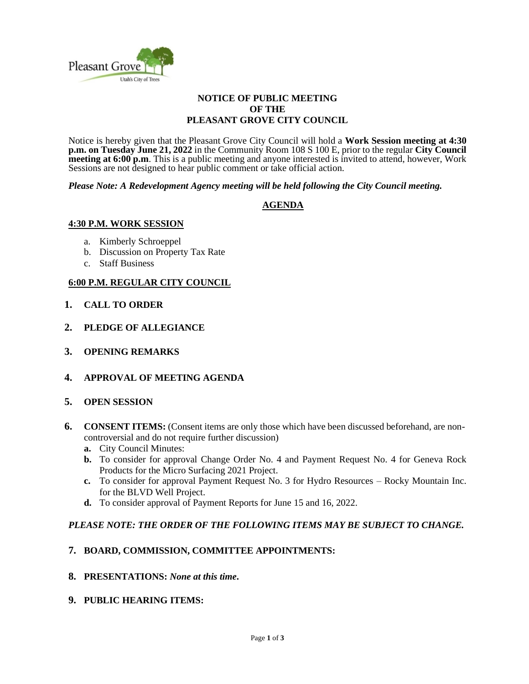

#### **NOTICE OF PUBLIC MEETING OF THE PLEASANT GROVE CITY COUNCIL**

Notice is hereby given that the Pleasant Grove City Council will hold a **Work Session meeting at 4:30 p.m. on Tuesday June 21, 2022** in the Community Room 108 S 100 E, prior to the regular **City Council meeting at 6:00 p.m.** This is a public meeting and anyone interested is invited to attend, however, Work Sessions are not designed to hear public comment or take official action.

*Please Note: A Redevelopment Agency meeting will be held following the City Council meeting.* 

### **AGENDA**

### **4:30 P.M. WORK SESSION**

- a. Kimberly Schroeppel
- b. Discussion on Property Tax Rate
- c. Staff Business

### **6:00 P.M. REGULAR CITY COUNCIL**

- **1. CALL TO ORDER**
- **2. PLEDGE OF ALLEGIANCE**
- **3. OPENING REMARKS**
- **4. APPROVAL OF MEETING AGENDA**

### **5. OPEN SESSION**

- **6. CONSENT ITEMS:** (Consent items are only those which have been discussed beforehand, are noncontroversial and do not require further discussion)
	- **a.** City Council Minutes:
	- **b.** To consider for approval Change Order No. 4 and Payment Request No. 4 for Geneva Rock Products for the Micro Surfacing 2021 Project.
	- **c.** To consider for approval Payment Request No. 3 for Hydro Resources Rocky Mountain Inc. for the BLVD Well Project.
	- **d.** To consider approval of Payment Reports for June 15 and 16, 2022.

### *PLEASE NOTE: THE ORDER OF THE FOLLOWING ITEMS MAY BE SUBJECT TO CHANGE.*

### **7. BOARD, COMMISSION, COMMITTEE APPOINTMENTS:**

- **8. PRESENTATIONS:** *None at this time***.**
- **9. PUBLIC HEARING ITEMS:**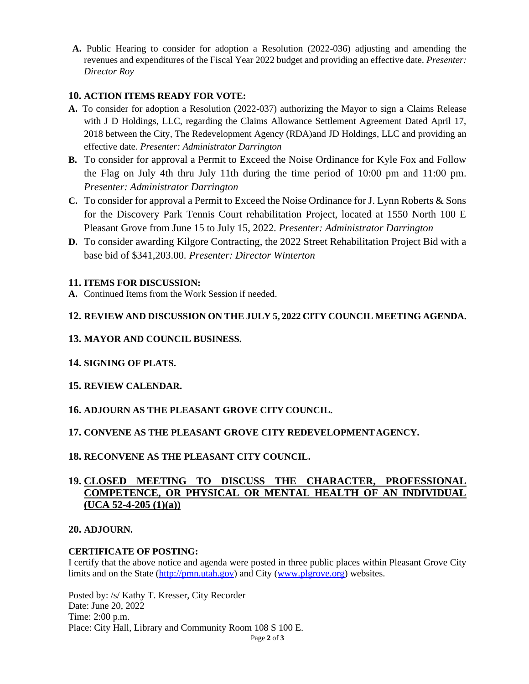**A.** Public Hearing to consider for adoption a Resolution (2022-036) adjusting and amending the revenues and expenditures of the Fiscal Year 2022 budget and providing an effective date. *Presenter: Director Roy*

## **10. ACTION ITEMS READY FOR VOTE:**

- **A.** To consider for adoption a Resolution (2022-037) authorizing the Mayor to sign a Claims Release with J D Holdings, LLC, regarding the Claims Allowance Settlement Agreement Dated April 17, 2018 between the City, The Redevelopment Agency (RDA)and JD Holdings, LLC and providing an effective date. *Presenter: Administrator Darrington*
- **B.** To consider for approval a Permit to Exceed the Noise Ordinance for Kyle Fox and Follow the Flag on July 4th thru July 11th during the time period of 10:00 pm and 11:00 pm. *Presenter: Administrator Darrington*
- **C.** To consider for approval a Permit to Exceed the Noise Ordinance for J. Lynn Roberts & Sons for the Discovery Park Tennis Court rehabilitation Project, located at 1550 North 100 E Pleasant Grove from June 15 to July 15, 2022. *Presenter: Administrator Darrington*
- **D.** To consider awarding Kilgore Contracting, the 2022 Street Rehabilitation Project Bid with a base bid of \$341,203.00. *Presenter: Director Winterton*

### **11. ITEMS FOR DISCUSSION:**

**A.** Continued Items from the Work Session if needed.

## **12. REVIEW AND DISCUSSION ON THE JULY 5, 2022 CITY COUNCIL MEETING AGENDA.**

- **13. MAYOR AND COUNCIL BUSINESS.**
- **14. SIGNING OF PLATS.**

### **15. REVIEW CALENDAR.**

## **16. ADJOURN AS THE PLEASANT GROVE CITY COUNCIL.**

## **17. CONVENE AS THE PLEASANT GROVE CITY REDEVELOPMENTAGENCY.**

### **18. RECONVENE AS THE PLEASANT CITY COUNCIL.**

# **19. CLOSED MEETING TO DISCUSS THE CHARACTER, PROFESSIONAL COMPETENCE, OR PHYSICAL OR MENTAL HEALTH OF AN INDIVIDUAL (UCA 52-4-205 (1)(a))**

### **20. ADJOURN.**

### **CERTIFICATE OF POSTING:**

I certify that the above notice and agenda were posted in three public places within Pleasant Grove City limits and on the State [\(http://pmn.utah.gov\)](http://pmn.utah.gov/) and City [\(www.plgrove.org\)](http://www.plgrove.org/) websites.

Posted by: /s/ Kathy T. Kresser, City Recorder Date: June 20, 2022 Time: 2:00 p.m. Place: City Hall, Library and Community Room 108 S 100 E.